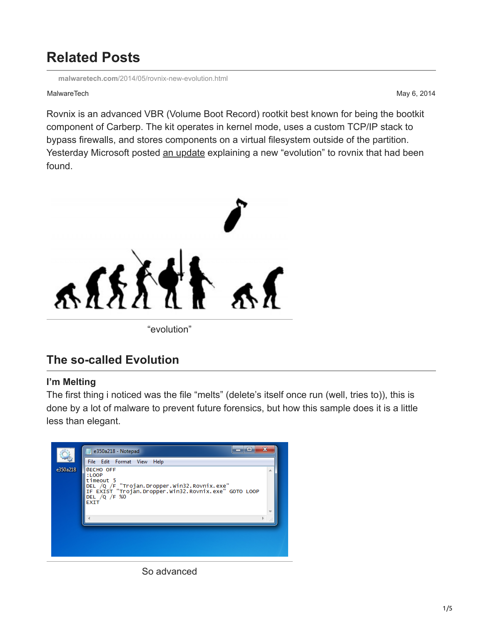# **Related Posts**

**malwaretech.com**[/2014/05/rovnix-new-evolution.html](http://www.malwaretech.com/2014/05/rovnix-new-evolution.html)

#### MalwareTech May 6, 2014

Rovnix is an advanced VBR (Volume Boot Record) rootkit best known for being the bootkit component of Carberp. The kit operates in kernel mode, uses a custom TCP/IP stack to bypass firewalls, and stores components on a virtual filesystem outside of the partition. Yesterday Microsoft posted [an update](http://blogs.technet.com/b/mmpc/archive/2014/05/05/the-evolution-of-rovnix-new-virtual-file-system-vfs.aspx) explaining a new "evolution" to rovnix that had been found.



# **The so-called Evolution**

#### **I'm Melting**

The first thing i noticed was the file "melts" (delete's itself once run (well, tries to)), this is done by a lot of malware to prevent future forensics, but how this sample does it is a little less than elegant.



So advanced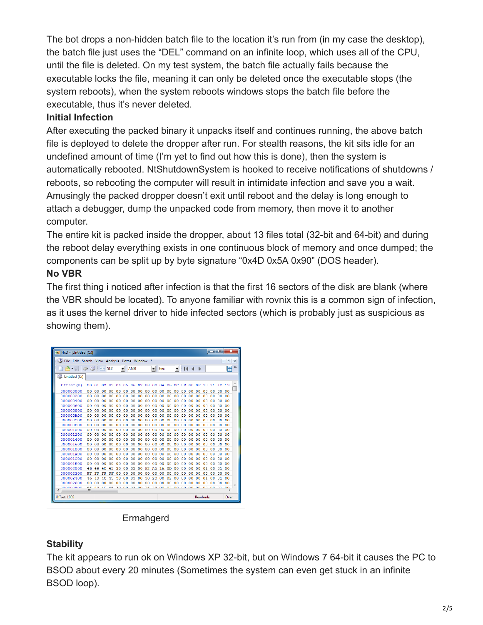The bot drops a non-hidden batch file to the location it's run from (in my case the desktop), the batch file just uses the "DEL" command on an infinite loop, which uses all of the CPU, until the file is deleted. On my test system, the batch file actually fails because the executable locks the file, meaning it can only be deleted once the executable stops (the system reboots), when the system reboots windows stops the batch file before the executable, thus it's never deleted.

## **Initial Infection**

After executing the packed binary it unpacks itself and continues running, the above batch file is deployed to delete the dropper after run. For stealth reasons, the kit sits idle for an undefined amount of time (I'm yet to find out how this is done), then the system is automatically rebooted. NtShutdownSystem is hooked to receive notifications of shutdowns / reboots, so rebooting the computer will result in intimidate infection and save you a wait. Amusingly the packed dropper doesn't exit until reboot and the delay is long enough to attach a debugger, dump the unpacked code from memory, then move it to another computer.

The entire kit is packed inside the dropper, about 13 files total (32-bit and 64-bit) and during the reboot delay everything exists in one continuous block of memory and once dumped; the components can be split up by byte signature "0x4D 0x5A 0x90" (DOS header).

# **No VBR**

The first thing i noticed after infection is that the first 16 sectors of the disk are blank (where the VBR should be located). To anyone familiar with rovnix this is a common sign of infection, as it uses the kernel driver to hide infected sectors (which is probably just as suspicious as showing them).

| $\overline{\mathbf{x}}$<br>o<br><b>CONTRACTOR</b><br><b>NO</b> HxD - [Untitled (C:)] |                        |            |                |        |                |                |        |          |    |           |                |                |                |                |               |    |                |                |            |                |   |
|--------------------------------------------------------------------------------------|------------------------|------------|----------------|--------|----------------|----------------|--------|----------|----|-----------|----------------|----------------|----------------|----------------|---------------|----|----------------|----------------|------------|----------------|---|
| File Edit Search View Analysis<br>Extras Window<br>-?                                |                        |            |                |        |                |                |        |          |    |           |                |                |                |                | $ F$ $\times$ |    |                |                |            |                |   |
| <b>Some of British</b><br>$\sim -1$                                                  | $+ + 512$<br>▾<br>ANSI |            |                |        |                |                |        | hex<br>▾ |    |           |                | $-1$ $-1$      |                |                |               |    |                | <del>두</del> " |            |                |   |
| Untitled (C:)                                                                        |                        |            |                |        |                |                |        |          |    |           |                |                |                |                |               |    |                |                |            |                |   |
| Offset (h)                                                                           | 00                     | 01         | 02             | 03     | 04             | 05             | 06     | 07       | 08 | 09        | 0A             | 0 <sub>B</sub> | oc:            | 0D             | 0E            | 0F | 10             | 11             | 12         | 13             | ۸ |
| 000000000                                                                            | nn                     | nn         | ٥o             | nn     | nn             | o٥             | O<br>n | o٥       | 00 | 00        | o٥             | nn             | Ω<br>Ω         | nn             | o٥            | nn | 00             | o٥             | 00         | 00             |   |
| 000000200                                                                            | 00                     | 00         | 0 <sub>0</sub> | 00     | 0 <sub>0</sub> | ٥o             | 00     | ٥o       | 00 | 00        | ٥o             | 00             | o<br>o         | 00             | 00            | 00 | 0 <sub>0</sub> | ٥o             | 00         | nn             |   |
| 000000400                                                                            | 00                     | 00         | ٥o             | 00     | 00             | ٥o             | 00     | ٥o       | 00 | 00        | 00             | 00             | 00             | 00             | ٥o            | 00 | 00             | 00             | 00         | 00             |   |
| 000000600                                                                            | o٥                     | o٥         | ٥o             | o٥     | 00             | 0 <sup>0</sup> | nn     | o٥       | 00 | 00        | 0 <sup>0</sup> | 00             | 0 <sup>0</sup> | 00             | 00            | 00 | 00             | 0 <sup>0</sup> | 00         | ٥o             |   |
| 000000800                                                                            | ٥o                     | 00         | 00             | 00     | 00             | 00             | 00     | 00       | 00 | 00        | 00             | 00             | 00             | 00             | 00            | 00 | 00             | 00             | 00         | 00             |   |
| 000000A00                                                                            | 00                     | o٥         | ٥o             | o٥     | 00             | იი             | 00     | o٥       | o٥ | 00        | იი             | 00             | o<br>o         | o٥             | ٥o            | 00 | 00             | o٥             | 00         | nn             |   |
| 000000000                                                                            | 00                     | o٥         | 00             | 00     | 00             | ٥o             | 00     | o٥       | 00 | 00        | 00             | 00             | 00             | 0 <sup>0</sup> | ٥o            | 00 | 00             | 00             | 00         | 00             |   |
| 000000E00                                                                            | o٥                     | 00         | 00             | n٥     | 0 <sup>0</sup> | 0 <sup>0</sup> | nn     | o٥       | 00 | 00        | 0 <sup>0</sup> | 00             | 0 <sup>0</sup> | 00             | 00            | 00 | 00             | 0 <sup>0</sup> | 00         | o٥             |   |
| 000001000                                                                            | nn                     | 00         | oo             | oo     | 0 <sub>0</sub> | ٥o             | 00     | ٥o       | 00 | 00        | ٥o             | 00             | 00             | 00             | ٥o            | 00 | 00             | ٥o             | 00         | nn             |   |
| 000001200                                                                            | 00                     | o٥         | 00             | o٥     | 00             | ٥o             | 00     | ٥o       | 00 | 00        | o٥             | 00             | ٥<br>o         | 00             | ٥o            | 00 | 00             | ٥o             | 00         | ٥o             |   |
| 000001400                                                                            | 00                     | o٥         | ٥o             | o٥     | 00             | ٥o             | nn     | ٥o       | 00 | 00        | 0 <sup>0</sup> | 00             | 00             | 00             | ٥o            | 00 | 00             | ٥o             | 00         | ٥o             |   |
| 000001600                                                                            | ٥o                     | $^{00}$    | 00             | 00     | 0 <sub>0</sub> | 00             | 00     | 00       | 00 | 00        | 0 <sup>0</sup> | 00             | 00             | 00             | 00            | 00 | 00             | 00             | 00         | 00             |   |
| 000001800                                                                            | o٥                     | ٥o         | ٥o             | o٥     | 0 <sub>0</sub> | იი             | 00     | o٥       | 00 | 00        | ٥o             | oo             | ٥o             | ٥o             | ٥o            | 00 | oo             | 00             | 00         | nn             |   |
| 000001A00                                                                            | 00                     | 00         | ٥o             | o٥     | 00             | ٥o             | 00     | o٥       | 00 | 00        | 00             | 00             | 00             | 00             | ٥o            | 00 | 00             | 00             | 00         | 00             |   |
| 000001C00                                                                            | nn                     | o٥         | ٥o             | o٥     | nn             | o٥             | nn     | o٥       | n٥ | ٥o        | o٥             | nn             | o٥             | 00             | o٥            | 00 | nn             | o٥             | 00         | o٥             |   |
| 000001E00                                                                            | ٥o                     | 00         | 00             | o<br>0 | 0 <sub>0</sub> | 0 <sub>0</sub> | 00     | ٥o       | 00 | 00        | 0 <sub>0</sub> | 00             | O<br>$\circ$   | 00             | 00            | 00 | 00             | 0 <sub>0</sub> | 00         | 00             |   |
| 000002000                                                                            | 46                     | 49         | 40             | 5<br>4 | 30             | იი             | 03     | ٥o       | F2 | <b>A5</b> | 1Ά             | 0D             | ٥o             | o٥             | ٥o            | 00 | 01             | იი             | 01         | ٥o             |   |
| 000002200                                                                            | FF                     | FF         | FF             | F<br>F | 00             | o٥             | 00     | ٥o       | 00 | 00        | 00             | 00             | 00             | 00             | ٥o            | 00 | 00             | o٥             | 00         | ٥o             |   |
| 000002400                                                                            | 46                     | 49         | 4C             | 45     | 30             | 00             | 03     | 00       | 30 | 23        | 00             | 02             | 00             | $^{00}$        | 00            | 00 | 01             | 00             | 01         | 00             |   |
| 000002600                                                                            | nn                     | nn         | nn             | n<br>n | 0 <sub>0</sub> | o٥             | n<br>n | nn       | ٥o | 00        | nn             | 00             | O<br>n         | 00             | o٥            | 00 | 00             | nn             | 00         | 0 <sub>0</sub> |   |
| aaaaaaaa                                                                             | $\epsilon$<br>ш        | $\sqrt{2}$ | $\overline{ }$ | A.P    | n n            | $\sim$         | $\sim$ | $\sim$   | пc | $\sim$    | $\sim$         | $\sim$         | $\sim$         | 00             | 00            | 00 | $\sim$         | $\sim$         | $^{\circ}$ | 00             |   |
| Offset: 1005<br>Readonly                                                             |                        |            |                |        |                |                |        |          |    |           |                |                |                | Over           |               |    |                |                |            |                |   |

#### **Ermahgerd**

# **Stability**

The kit appears to run ok on Windows XP 32-bit, but on Windows 7 64-bit it causes the PC to BSOD about every 20 minutes (Sometimes the system can even get stuck in an infinite BSOD loop).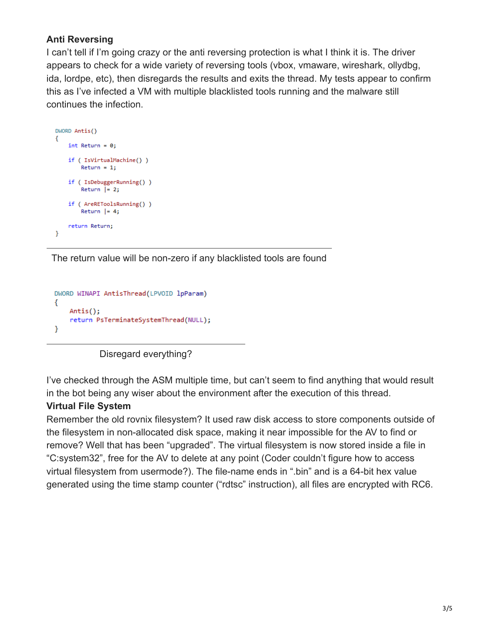# **Anti Reversing**

I can't tell if I'm going crazy or the anti reversing protection is what I think it is. The driver appears to check for a wide variety of reversing tools (vbox, vmaware, wireshark, ollydbg, ida, lordpe, etc), then disregards the results and exits the thread. My tests appear to confirm this as I've infected a VM with multiple blacklisted tools running and the malware still continues the infection.

```
DWORD Antis()
€
    int Return = 0;if (IsVirtualMachine())
        Return = 1;if (IsDebuggerRunning())
        Return = 2;if ( AreREToolsRunning() )
        Return = 4;return Return;
\mathcal{Y}
```
The return value will be non-zero if any blacklisted tools are found

```
DWORD WINAPI AntisThread(LPVOID lpParam)
€
   Antis();
   return PsTerminateSystemThread(NULL);
ł
```


I've checked through the ASM multiple time, but can't seem to find anything that would result in the bot being any wiser about the environment after the execution of this thread.

## **Virtual File System**

Remember the old rovnix filesystem? It used raw disk access to store components outside of the filesystem in non-allocated disk space, making it near impossible for the AV to find or remove? Well that has been "upgraded". The virtual filesystem is now stored inside a file in "C:system32", free for the AV to delete at any point (Coder couldn't figure how to access virtual filesystem from usermode?). The file-name ends in ".bin" and is a 64-bit hex value generated using the time stamp counter ("rdtsc" instruction), all files are encrypted with RC6.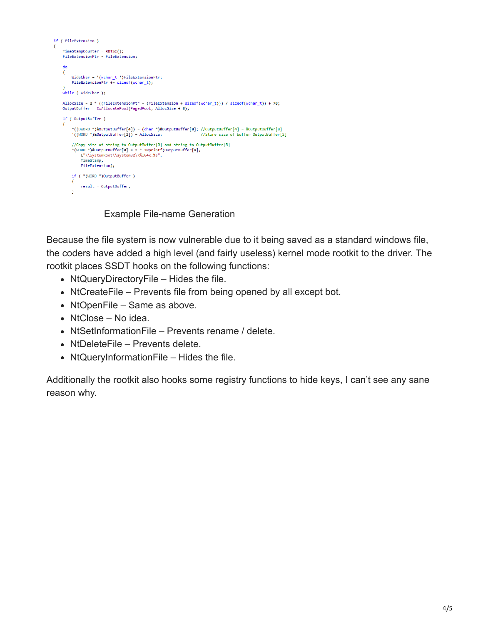

Example File-name Generation

Because the file system is now vulnerable due to it being saved as a standard windows file, the coders have added a high level (and fairly useless) kernel mode rootkit to the driver. The rootkit places SSDT hooks on the following functions:

- NtQueryDirectoryFile Hides the file.
- NtCreateFile Prevents file from being opened by all except bot.
- NtOpenFile Same as above.
- NtClose No idea.
- NtSetInformationFile Prevents rename / delete.
- NtDeleteFile Prevents delete.
- NtQueryInformationFile Hides the file.

Additionally the rootkit also hooks some registry functions to hide keys, I can't see any sane reason why.